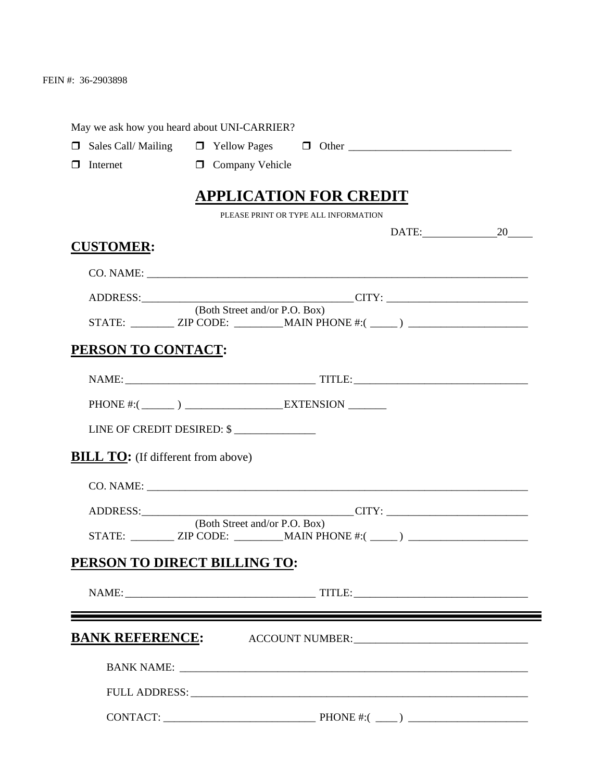FEIN #: 36-2903898

| May we ask how you heard about UNI-CARRIER?                                      |                                      |          |  |
|----------------------------------------------------------------------------------|--------------------------------------|----------|--|
|                                                                                  |                                      |          |  |
| $\Box$ Company Vehicle<br>Internet<br>$\Box$                                     |                                      |          |  |
|                                                                                  | <b>APPLICATION FOR CREDIT</b>        |          |  |
|                                                                                  | PLEASE PRINT OR TYPE ALL INFORMATION |          |  |
|                                                                                  |                                      | DATE: 20 |  |
| <b>CUSTOMER:</b>                                                                 |                                      |          |  |
|                                                                                  |                                      |          |  |
|                                                                                  |                                      |          |  |
| STATE: _________ ZIP CODE: __________ MAIN PHONE #:( _____) ____________________ | (Both Street and/or P.O. Box)        |          |  |
| PERSON TO CONTACT:                                                               |                                      |          |  |
|                                                                                  |                                      |          |  |
|                                                                                  |                                      |          |  |
| PHONE #: $(\_\_)$ $\_\_$ EXTENSION $\_\_$                                        |                                      |          |  |
| LINE OF CREDIT DESIRED: \$                                                       |                                      |          |  |
| <b>BILL TO:</b> (If different from above)                                        |                                      |          |  |
|                                                                                  |                                      |          |  |
|                                                                                  |                                      |          |  |
|                                                                                  | (Both Street and/or P.O. Box)        |          |  |
| STATE: __________ ZIP CODE: ___________MAIN PHONE #:( _____) ___________________ |                                      |          |  |
| PERSON TO DIRECT BILLING TO:                                                     |                                      |          |  |
|                                                                                  |                                      |          |  |
| <u> 1989 - Johann Barbara, martxa alemaniar amerikan a</u>                       |                                      |          |  |
| <b>BANK REFERENCE:</b> ACCOUNT NUMBER: 1997 ACCOUNT NUMBER:                      |                                      |          |  |
|                                                                                  |                                      |          |  |
|                                                                                  |                                      |          |  |
|                                                                                  |                                      |          |  |
|                                                                                  |                                      |          |  |